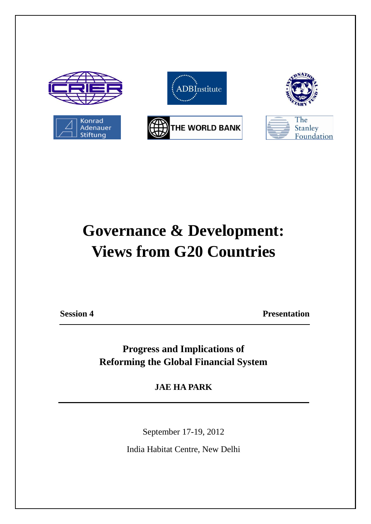

## **Governance & Development: Views from G20 Countries**

**Session 4 Presentation** 

**Progress and Implications of Reforming the Global Financial System**

**JAE HA PARK**

September 17-19, 2012

India Habitat Centre, New Delhi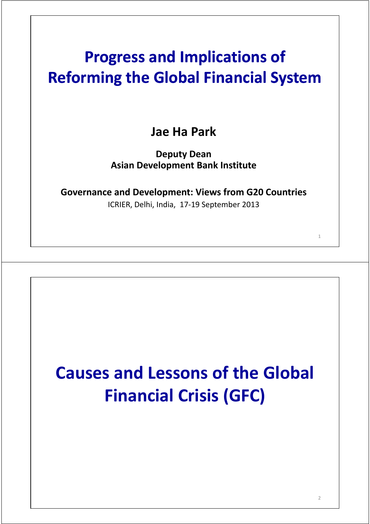## **Progress and Implications of Reforming the Global Financial System**

**Jae Ha Park**

**Deputy Dean Asian Development Bank Institute**

**Governance and Development: Views from G20 Countries** 

ICRIER, Delhi, India, 17‐19 September 2013

# **Causes and Lessons of the Global Financial Crisis (GFC)**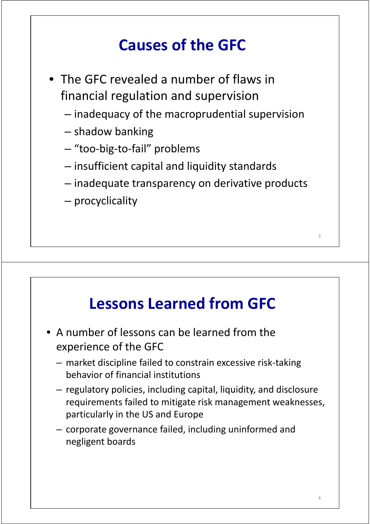## **Causes of the GFC**

- The GFC revealed a number of flaws in financial regulation and supervision
	- inadequacy of the macroprudential supervision
	- shadow banking
	- "too‐big‐to‐fail" problems
	- insufficient capital and liquidity standards
	- $-$  inadequate transparency on derivative products
	- procyclicality

#### **Lessons Learned from GFC**

- A number of lessons can be learned from the experience of the GFC
	- market discipline failed to constrain excessive risk‐taking behavior of financial institutions
	- regulatory policies, including capital, liquidity, and disclosure requirements failed to mitigate risk management weaknesses, particularly in the US and Europe
	- corporate governance failed, including uninformed and negligent boards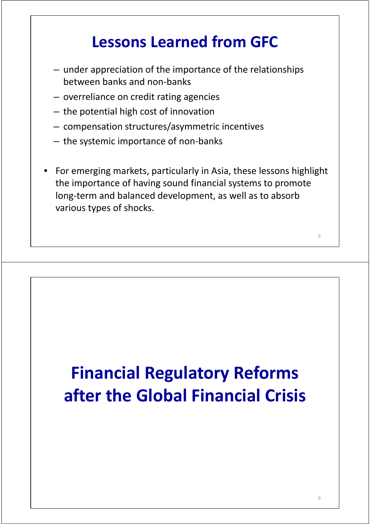#### **Lessons Learned from GFC**

- under appreciation of the importance of the relationships between banks and non‐banks
- overreliance on credit rating agencies
- the potential high cost of innovation
- compensation structures/asymmetric incentives
- the systemic importance of non‐banks
- For emerging markets, particularly in Asia, these lessons highlight the importance of having sound financial systems to promote long‐term and balanced development, as well as to absorb various types of shocks.

# **Financial Regulatory Reforms after the Global Financial Crisis**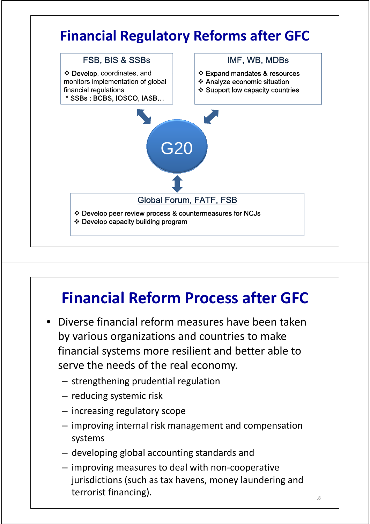

## **Financial Reform Process after GFC**

- Diverse financial reform measures have been taken by various organizations and countries to make financial systems more resilient and better able to serve the needs of the real economy.
	- strengthening prudential regulation
	- $-$  reducing systemic risk
	- increasing regulatory scope
	- improving internal risk management and compensation systems
	- $-$  developing global accounting standards and
	- improving measures to deal with non‐cooperative jurisdictions (such as tax havens, money laundering and terrorist financing).  $\frac{1}{2}$  and  $\frac{1}{2}$  and  $\frac{1}{2}$  and  $\frac{1}{2}$  and  $\frac{1}{2}$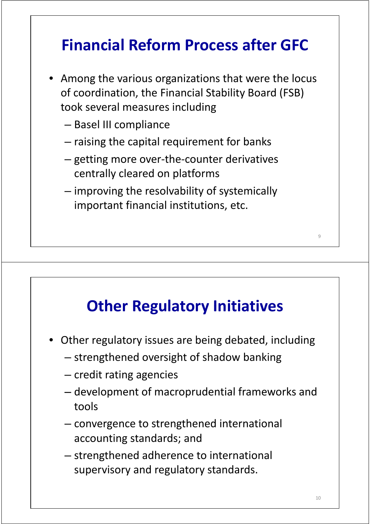## **Financial Reform Process after GFC**

- Among the various organizations that were the locus of coordination, the Financial Stability Board (FSB) took several measures including
	- Basel III compliance
	- raising the capital requirement for banks
	- getting more over‐the‐counter derivatives centrally cleared on platforms
	- improving the resolvability of systemically important financial institutions, etc.

#### **Other Regulatory Initiatives**

- Other regulatory issues are being debated, including
	- strengthened oversight of shadow banking
	- credit rating agencies
	- development of macroprudential frameworks and tools
	- $-$  convergence to strengthened international accounting standards; and
	- strengthened adherence to international supervisory and regulatory standards.

 $\overline{9}$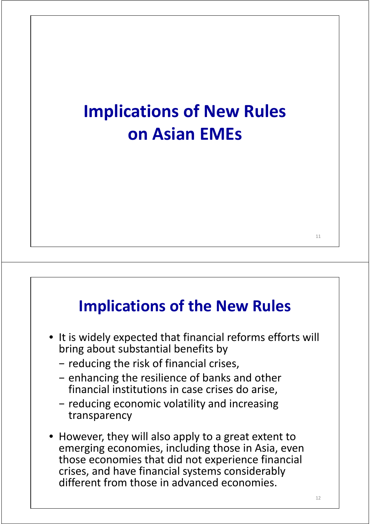## **Implications of New Rules on Asian EMEs**

#### **Implications of the New Rules**

- It is widely expected that financial reforms efforts will bring about substantial benefits by
	- − reducing the risk of financial crises,
	- − enhancing the resilience of banks and other financial institutions in case crises do arise,
	- − reducing economic volatility and increasing transparency
- However, they will also apply to a great extent to emerging economies, including those in Asia, even those economies that did not experience financial crises, and have financial systems considerably different from those in advanced economies.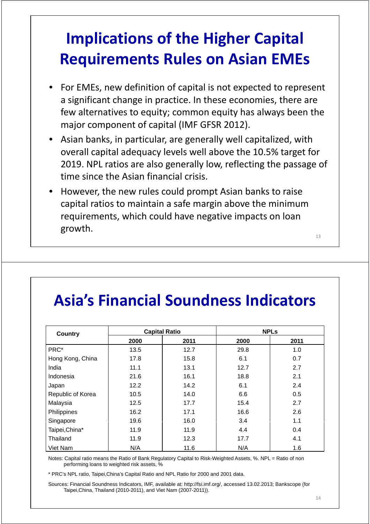## **Implications of the Higher Capital Requirements Rules on Asian EMEs**

- For EMEs, new definition of capital is not expected to represent a significant change in practice. In these economies, there are few alternatives to equity; common equity has always been the major component of capital (IMF GFSR 2012).
- Asian banks, in particular, are generally well capitalized, with overall capital adequacy levels well above the 10.5% target for 2019. NPL ratios are also generally low, reflecting the passage of time since the Asian financial crisis.
- However, the new rules could prompt Asian banks to raise capital ratios to maintain a safe margin above the minimum requirements, which could have negative impacts on loan growth.

13

## **Asia s' Financial Soundness Indicators**

| <b>Country</b>    |      | <b>Capital Ratio</b> |      | <b>NPLs</b> |  |
|-------------------|------|----------------------|------|-------------|--|
|                   | 2000 | 2011                 | 2000 | 2011        |  |
| PRC*              | 13.5 | 12.7                 | 29.8 | 1.0         |  |
| Hong Kong, China  | 17.8 | 15.8                 | 6.1  | 0.7         |  |
| India             | 11.1 | 13.1                 | 12.7 | 2.7         |  |
| Indonesia         | 21.6 | 16.1                 | 18.8 | 2.1         |  |
| Japan             | 12.2 | 14.2                 | 6.1  | 2.4         |  |
| Republic of Korea | 10.5 | 14.0                 | 6.6  | 0.5         |  |
| Malaysia          | 12.5 | 17.7                 | 15.4 | 2.7         |  |
| Philippines       | 16.2 | 17.1                 | 16.6 | 2.6         |  |
| Singapore         | 19.6 | 16.0                 | 3.4  | 1.1         |  |
| Taipei, China*    | 11.9 | 11.9                 | 4.4  | 0.4         |  |
| Thailand          | 11.9 | 12.3                 | 17.7 | 4.1         |  |
| Viet Nam          | N/A  | 11.6                 | N/A  | 1.6         |  |

Notes: Capital ratio means the Ratio of Bank Regulatory Capital to Risk-Weighted Assets, %. NPL = Ratio of non performing loans to weighted risk assets, %

\* PRC's NPL ratio, Taipei,China's Capital Ratio and NPL Ratio for 2000 and 2001 data.

Sources: Financial Soundness Indicators, IMF, available at: http://fsi.imf.org/, accessed 13.02.2013; Bankscope (for Taipei,China, Thailand (2010-2011), and Viet Nam (2007-2011)).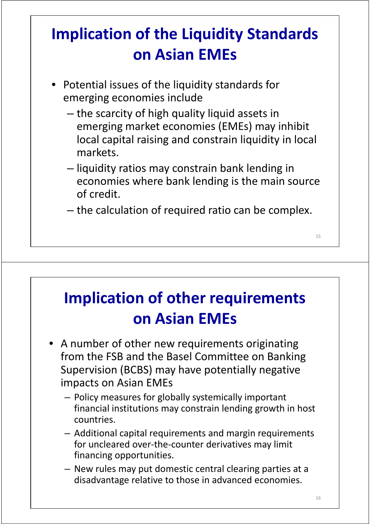## **Implication of the Liquidity Standards on Asian EMEs**

- Potential issues of the liquidity standards for emerging economies include
	- the scarcity of high quality liquid assets in emerging market economies (EMEs) may inhibit local capital raising and constrain liquidity in local markets.
	- liquidity ratios may constrain bank lending in economies where bank lending is the main source of credit.
	- the calculation of required ratio can be complex.

## **Implication of other requirements on Asian EMEs**

- A number of other new requirements originating from the FSB and the Basel Committee on Banking Supervision (BCBS) may have potentially negative impacts on Asian EMEs
	- Policy measures for globally systemically important financial institutions may constrain lending growth in host countries.
	- Additional capital requirements and margin requirements for uncleared over-the-counter derivatives may limit financing opportunities.
	- New rules may put domestic central clearing parties at a disadvantage relative to those in advanced economies.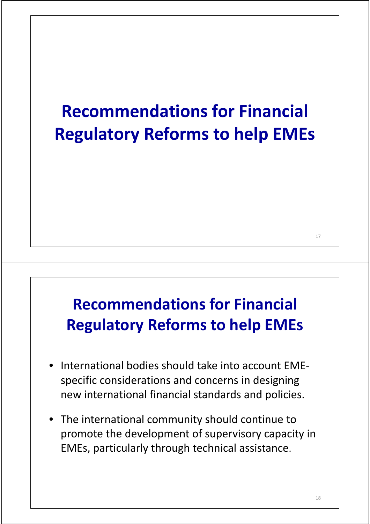# **Recommendations for Financial Regulatory Reforms to help EMEs**

## **Recommendations for Financial Regulatory Reforms to help EMEs**

- International bodies should take into account EMEspecific considerations and concerns in designing new international financial standards and policies.
- The international community should continue to promote the development of supervisory capacity in EMEs, particularly through technical assistance.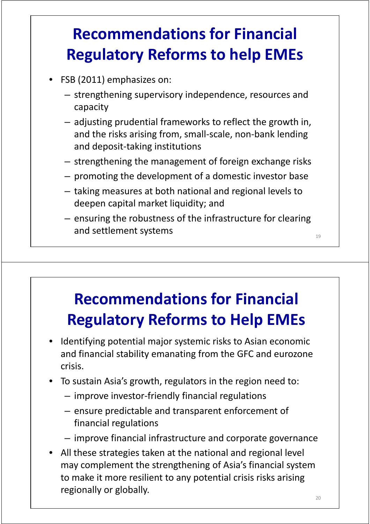## **Recommendations for Financial Regulatory Reforms to help EMEs**

- FSB (2011) emphasizes on:
	- strengthening supervisory independence, resources and capacity
	- adjusting prudential frameworks to reflect the growth in, and the risks arising from, small-scale, non-bank lending and deposit‐taking institutions
	- strengthening the management of foreign exchange risks
	- promoting the development of a domestic investor base
	- $-$  taking measures at both national and regional levels to deepen capital market liquidity; and
	- ensuring the robustness of the infrastructure for clearing and settlement systems and settlement systems

#### **Recommendations for Financial Regulatory Reforms to Help EMEs**

- Identifying potential major systemic risks to Asian economic and financial stability emanating from the GFC and eurozone crisis.
- To sustain Asia's growth, regulators in the region need to:
	- $-$  improve investor-friendly financial regulations
	- ensure predictable and transparent enforcement of financial regulations
	- improve financial infrastructure and corporate governance
- All these strategies taken at the national and regional level may complement the strengthening of Asia's financial system to make it more resilient to any potential crisis risks arising regionally or globally.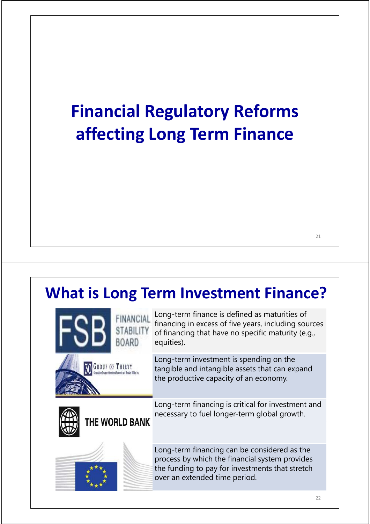# **Financial Regulatory Reforms affecting Long Term Finance**

#### **What is Long Term Investment Finance?**

| ABII I         | Long-term finance is defined as maturities of<br>financing in excess of five years, including sources<br>of financing that have no specific maturity (e.g.,<br>equities).          |  |  |
|----------------|------------------------------------------------------------------------------------------------------------------------------------------------------------------------------------|--|--|
|                | Long-term investment is spending on the<br>tangible and intangible assets that can expand<br>the productive capacity of an economy.                                                |  |  |
| THE WORLD BANK | Long-term financing is critical for investment and<br>necessary to fuel longer-term global growth.                                                                                 |  |  |
|                | Long-term financing can be considered as the<br>process by which the financial system provides<br>the funding to pay for investments that stretch<br>over an extended time period. |  |  |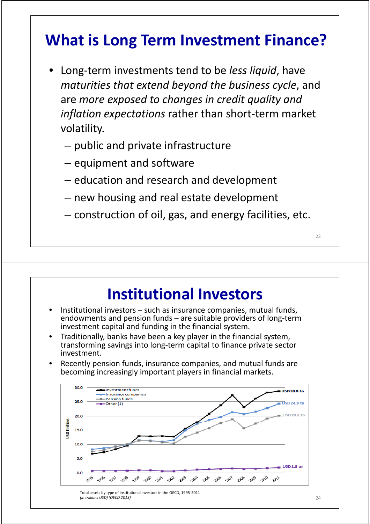#### **What is Long Term Investment Finance?**

- Long‐term investments tend to be *less liquid*, have *maturities that extend beyond the business cycle*, and are *more exposed to changes in credit quality and inflation expectations* rather than short‐term market volatility.
	- public and private infrastructure
	- $-$  equipment and software
	- education and research and development
	- new housing and real estate development
	- construction of oil, gas, and energy facilities, etc.

#### **Institutional Investors**

- Institutional investors such as insurance companies, mutual funds, endowments and pension funds – are suitable providers of long‐term investment capital and funding in the financial system.
- Traditionally, banks have been a key player in the financial system, transforming savings into long‐term capital to finance private sector investment.
- Recently pension funds, insurance companies, and mutual funds are becoming increasingly important players in financial markets.

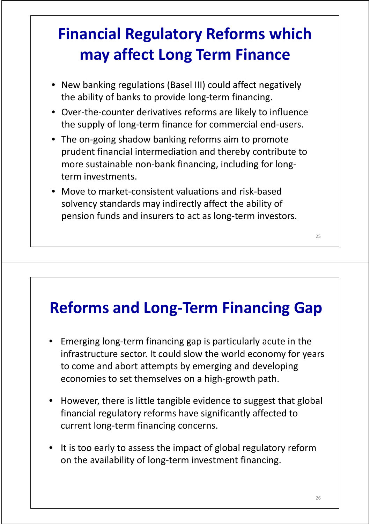## **Financial Regulatory Reforms which may affect Long Term Finance**

- New banking regulations (Basel III) could affect negatively the ability of banks to provide long‐term financing.
- Over‐the‐counter derivatives reforms are likely to influence the supply of long‐term finance for commercial end‐users.
- The on-going shadow banking reforms aim to promote prudent financial intermediation and thereby contribute to more sustainable non-bank financing, including for longterm investments.
- Move to market-consistent valuations and risk-based solvency standards may indirectly affect the ability of pension funds and insurers to act as long-term investors.

#### **Reforms and Long‐Term Financing Gap**

- Emerging long‐term financing gap is particularly acute in the infrastructure sector. It could slow the world economy for years to come and abort attempts by emerging and developing economies to set themselves on a high‐growth path.
- However, there is little tangible evidence to suggest that global financial regulatory reforms have significantly affected to current long‐term financing concerns.
- It is too early to assess the impact of global regulatory reform on the availability of long‐term investment financing.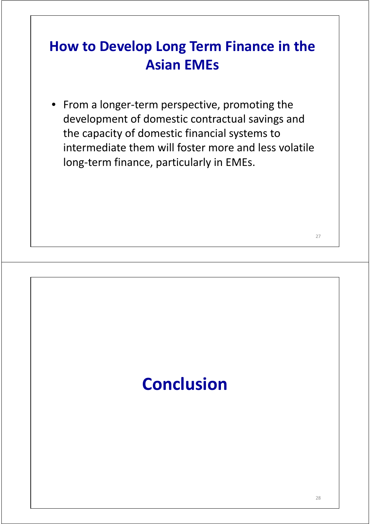#### **How to Develop Long Term Finance in the Asian EMEs**

• From a longer‐term perspective, promoting the development of domestic contractual savings and the capacity of domestic financial systems to intermediate them will foster more and less volatile long-term finance, particularly in EMEs.

# **Conclusion**